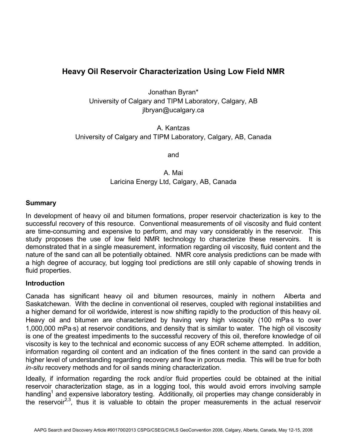# **Heavy Oil Reservoir Characterization Using Low Field NMR**

Jonathan Byran\* University of Calgary and TIPM Laboratory, Calgary, AB jlbryan@ucalgary.ca

A. Kantzas University of Calgary and TIPM Laboratory, Calgary, AB, Canada

and

A. Mai Laricina Energy Ltd, Calgary, AB, Canada

# **Summary**

In development of heavy oil and bitumen formations, proper reservoir chacterization is key to the successful recovery of this resource. Conventional measurements of oil viscosity and fluid content are time-consuming and expensive to perform, and may vary considerably in the reservoir. This study proposes the use of low field NMR technology to characterize these reservoirs. It is demonstrated that in a single measurement, information regarding oil viscosity, fluid content and the nature of the sand can all be potentially obtained. NMR core analysis predictions can be made with a high degree of accuracy, but logging tool predictions are still only capable of showing trends in fluid properties.

# **Introduction**

Canada has significant heavy oil and bitumen resources, mainly in nothern Alberta and Saskatchewan. With the decline in conventional oil reserves, coupled with regional instabilities and a higher demand for oil worldwide, interest is now shifting rapidly to the production of this heavy oil. Heavy oil and bitumen are characterized by having very high viscosity (100 mPa⋅s to over 1,000,000 mPa⋅s) at reservoir conditions, and density that is similar to water. The high oil viscosity is one of the greatest impediments to the successful recovery of this oil, therefore knowledge of oil viscosity is key to the technical and economic success of any EOR scheme attempted. In addition, information regarding oil content and an indication of the fines content in the sand can provide a higher level of understanding regarding recovery and flow in porous media. This will be true for both *in-situ* recovery methods and for oil sands mining characterization.

Ideally, if information regarding the rock and/or fluid properties could be obtained at the initial reservoir characterization stage, as in a logging tool, this would avoid errors involving sample handling<sup>1</sup> and expensive laboratory testing. Additionally, oil properties may change considerably in the reservoir<sup>2,3</sup>, thus it is valuable to obtain the proper measurements in the actual reservoir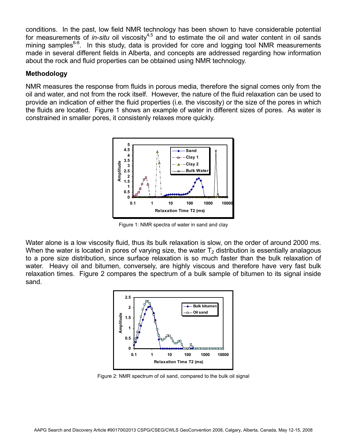conditions. In the past, low field NMR technology has been shown to have considerable potential for measurements of *in-situ* oil viscosity<sup>4,5</sup> and to estimate the oil and water content in oil sands mining samples<sup>6-8</sup>. In this study, data is provided for core and logging tool NMR measurements made in several different fields in Alberta, and concepts are addressed regarding how information about the rock and fluid properties can be obtained using NMR technology.

# **Methodology**

NMR measures the response from fluids in porous media, therefore the signal comes only from the oil and water, and not from the rock itself. However, the nature of the fluid relaxation can be used to provide an indication of either the fluid properties (i.e. the viscosity) or the size of the pores in which the fluids are located. Figure 1 shows an example of water in different sizes of pores. As water is constrained in smaller pores, it consistenly relaxes more quickly.



Figure 1: NMR spectra of water in sand and clay

Water alone is a low viscosity fluid, thus its bulk relaxation is slow, on the order of around 2000 ms. When the water is located in pores of varying size, the water  $T_2$  distribution is essentially analagous to a pore size distribution, since surface relaxation is so much faster than the bulk relaxation of water. Heavy oil and bitumen, conversely, are highly viscous and therefore have very fast bulk relaxation times. Figure 2 compares the spectrum of a bulk sample of bitumen to its signal inside sand.



Figure 2: NMR spectrum of oil sand, compared to the bulk oil signal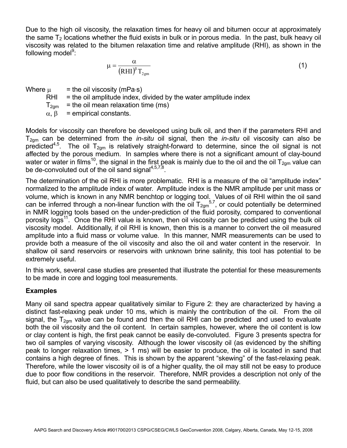Due to the high oil viscosity, the relaxation times for heavy oil and bitumen occur at approximately the same  $T_2$  locations whether the fluid exists in bulk or in porous media. In the past, bulk heavy oil viscosity was related to the bitumen relaxation time and relative amplitude (RHI), as shown in the following model<sup>9</sup>:

$$
\mu = \frac{\alpha}{\left(RHI\right)^{\beta}T_{2gm}}
$$
 (1)

Where  $\mu$  = the oil viscosity (mPa⋅s)

 $RHI =$  the oil amplitude index, divided by the water amplitude index

 $T_{2cm}$  = the oil mean relaxation time (ms)

 $\alpha$ ,  $\beta$  = empirical constants.

Models for viscosity can therefore be developed using bulk oil, and then if the parameters RHI and T2gm can be determined from the *in-situ* oil signal, then the *in-situ* oil viscosity can also be predicted<sup>4,5</sup>. The oil  $T_{2gm}$  is relatively straight-forward to determine, since the oil signal is not affected by the porous medium. In samples where there is not a significant amount of clay-bound water or water in films<sup>10</sup>, the signal in the first peak is mainly due to the oil and the oil T<sub>2gm</sub> value can be de-convoluted out of the oil sand signal<sup>4,5,7,8</sup>.

The determination of the oil RHI is more problematic. RHI is a measure of the oil "amplitude index" normalized to the amplitude index of water. Amplitude index is the NMR amplitude per unit mass or volume, which is known in any NMR benchtop or logging tool. Values of oil RHI within the oil sand can be inferred through a non-linear function with the oil  $T_{2gm}$ <sup>5,7</sup>, or could potentially be determined in NMR logging tools based on the under-prediction of the fluid porosity, compared to conventional porosity logs<sup>11</sup>. Once the RHI value is known, then oil viscosity can be predicted using the bulk oil viscosity model. Additionally, if oil RHI is known, then this is a manner to convert the oil measured amplitude into a fluid mass or volume value. In this manner, NMR measurements can be used to provide both a measure of the oil viscosity and also the oil and water content in the reservoir. In shallow oil sand reservoirs or reservoirs with unknown brine salinity, this tool has potential to be extremely useful.

In this work, several case studies are presented that illustrate the potential for these measurements to be made in core and logging tool measurements.

# **Examples**

Many oil sand spectra appear qualitatively similar to Figure 2: they are characterized by having a distinct fast-relaxing peak under 10 ms, which is mainly the contribution of the oil. From the oil signal, the  $T_{2cm}$  value can be found and then the oil RHI can be predicted and used to evaluate both the oil viscosity and the oil content. In certain samples, however, where the oil content is low or clay content is high, the first peak cannot be easily de-convoluted. Figure 3 presents spectra for two oil samples of varying viscosity. Although the lower viscosity oil (as evidenced by the shifting peak to longer relaxation times, > 1 ms) will be easier to produce, the oil is located in sand that contains a high degree of fines. This is shown by the apparent "skewing" of the fast-relaxing peak. Therefore, while the lower viscosity oil is of a higher quality, the oil may still not be easy to produce due to poor flow conditions in the reservoir. Therefore, NMR provides a description not only of the fluid, but can also be used qualitatively to describe the sand permeability.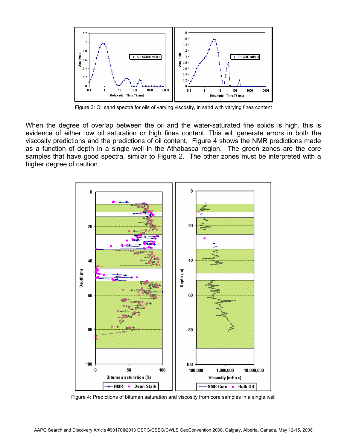

Figure 3: Oil sand spectra for oils of varying viscosity, in sand with varying fines content

When the degree of overlap between the oil and the water-saturated fine solids is high, this is evidence of either low oil saturation or high fines content. This will generate errors in both the viscosity predictions and the predictions of oil content. Figure 4 shows the NMR predictions made as a function of depth in a single well in the Athabasca region. The green zones are the core samples that have good spectra, similar to Figure 2. The other zones must be interpreted with a higher degree of caution.



Figure 4: Predictions of bitumen saturation and viscosity from core samples in a single well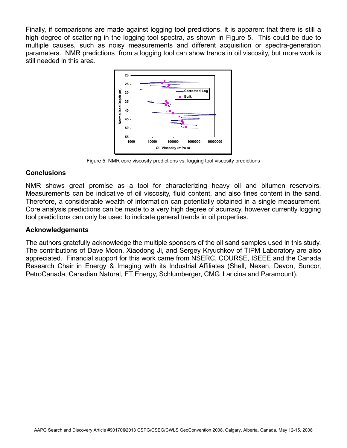Finally, if comparisons are made against logging tool predictions, it is apparent that there is still a high degree of scattering in the logging tool spectra, as shown in Figure 5. This could be due to multiple causes, such as noisy measurements and different acquisition or spectra-generation parameters. NMR predictions from a logging tool can show trends in oil viscosity, but more work is still needed in this area.



Figure 5: NMR core viscosity predictions vs. logging tool viscosity predictions

# **Conclusions**

NMR shows great promise as a tool for characterizing heavy oil and bitumen reservoirs. Measurements can be indicative of oil viscosity, fluid content, and also fines content in the sand. Therefore, a considerable wealth of information can potentially obtained in a single measurement. Core analysis predictions can be made to a very high degree of acurracy, however currently logging tool predictions can only be used to indicate general trends in oil properties.

# **Acknowledgements**

The authors gratefully acknowledge the multiple sponsors of the oil sand samples used in this study. The contributions of Dave Moon, Xiaodong Ji, and Sergey Kryuchkov of TIPM Laboratory are also appreciated. Financial support for this work came from NSERC, COURSE, ISEEE and the Canada Research Chair in Energy & Imaging with its Industrial Affiliates (Shell, Nexen, Devon, Suncor, PetroCanada, Canadian Natural, ET Energy, Schlumberger, CMG, Laricina and Paramount).